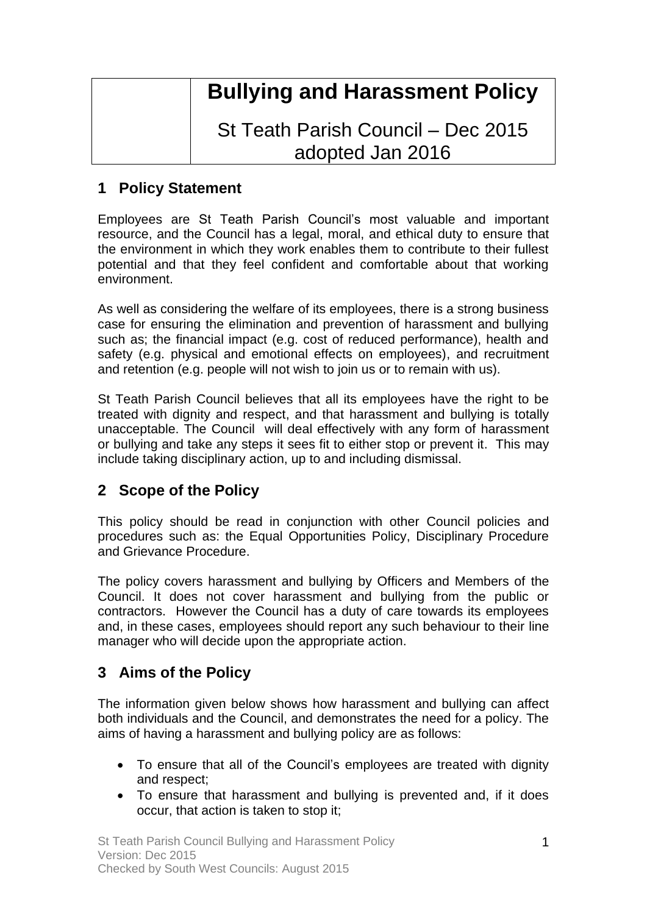# **Bullying and Harassment Policy**

## St Teath Parish Council – Dec 2015 adopted Jan 2016

### **1 Policy Statement**

Employees are St Teath Parish Council's most valuable and important resource, and the Council has a legal, moral, and ethical duty to ensure that the environment in which they work enables them to contribute to their fullest potential and that they feel confident and comfortable about that working environment.

As well as considering the welfare of its employees, there is a strong business case for ensuring the elimination and prevention of harassment and bullying such as; the financial impact (e.g. cost of reduced performance), health and safety (e.g. physical and emotional effects on employees), and recruitment and retention (e.g. people will not wish to join us or to remain with us).

St Teath Parish Council believes that all its employees have the right to be treated with dignity and respect, and that harassment and bullying is totally unacceptable. The Council will deal effectively with any form of harassment or bullying and take any steps it sees fit to either stop or prevent it. This may include taking disciplinary action, up to and including dismissal.

### **2 Scope of the Policy**

This policy should be read in conjunction with other Council policies and procedures such as: the Equal Opportunities Policy, Disciplinary Procedure and Grievance Procedure.

The policy covers harassment and bullying by Officers and Members of the Council. It does not cover harassment and bullying from the public or contractors. However the Council has a duty of care towards its employees and, in these cases, employees should report any such behaviour to their line manager who will decide upon the appropriate action.

### **3 Aims of the Policy**

The information given below shows how harassment and bullying can affect both individuals and the Council, and demonstrates the need for a policy. The aims of having a harassment and bullying policy are as follows:

- To ensure that all of the Council's employees are treated with dignity and respect;
- To ensure that harassment and bullying is prevented and, if it does occur, that action is taken to stop it;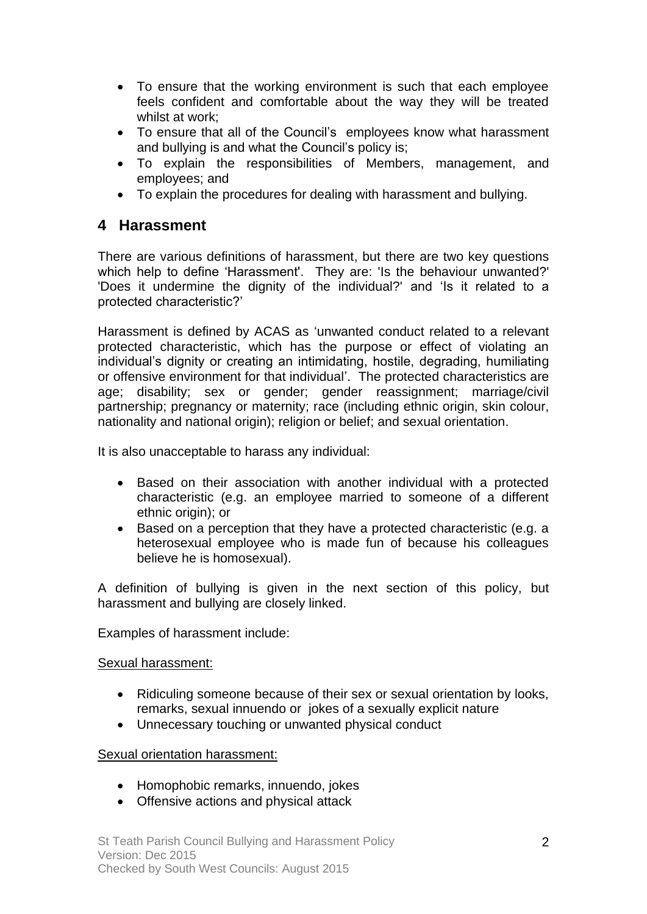- To ensure that the working environment is such that each employee feels confident and comfortable about the way they will be treated whilst at work;
- To ensure that all of the Council's employees know what harassment and bullying is and what the Council's policy is;
- To explain the responsibilities of Members, management, and employees; and
- To explain the procedures for dealing with harassment and bullying.

#### **4 Harassment**

There are various definitions of harassment, but there are two key questions which help to define 'Harassment'. They are: 'Is the behaviour unwanted?' 'Does it undermine the dignity of the individual?' and 'Is it related to a protected characteristic?'

Harassment is defined by ACAS as 'unwanted conduct related to a relevant protected characteristic, which has the purpose or effect of violating an individual's dignity or creating an intimidating, hostile, degrading, humiliating or offensive environment for that individual'. The protected characteristics are age; disability; sex or gender; gender reassignment; marriage/civil partnership; pregnancy or maternity; race (including ethnic origin, skin colour, nationality and national origin); religion or belief; and sexual orientation.

It is also unacceptable to harass any individual:

- Based on their association with another individual with a protected characteristic (e.g. an employee married to someone of a different ethnic origin); or
- Based on a perception that they have a protected characteristic (e.g. a heterosexual employee who is made fun of because his colleagues believe he is homosexual).

A definition of bullying is given in the next section of this policy, but harassment and bullying are closely linked.

Examples of harassment include:

#### Sexual harassment:

- Ridiculing someone because of their sex or sexual orientation by looks, remarks, sexual innuendo or jokes of a sexually explicit nature
- Unnecessary touching or unwanted physical conduct

#### Sexual orientation harassment:

- Homophobic remarks, innuendo, jokes
- Offensive actions and physical attack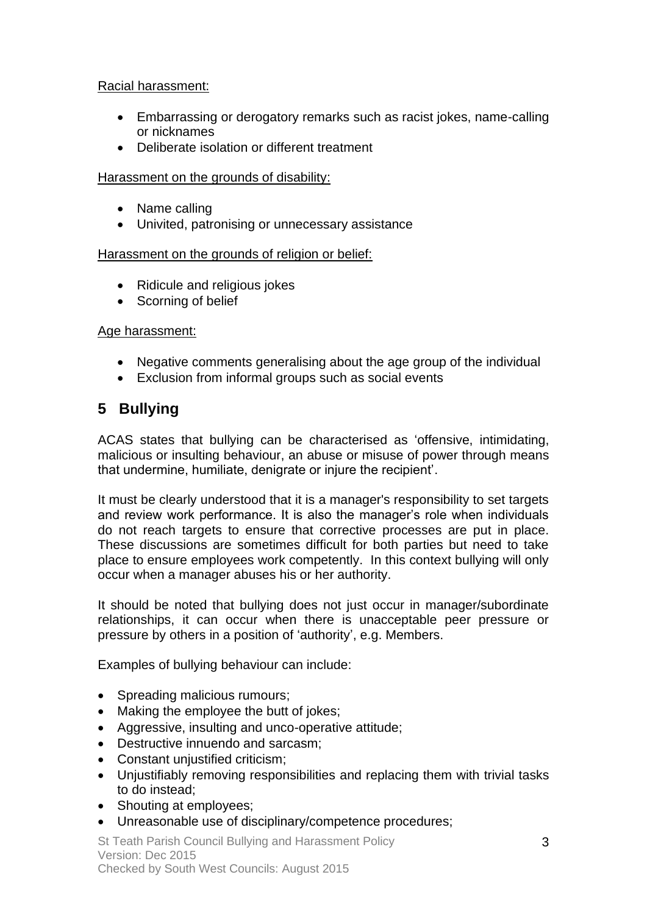#### Racial harassment:

- Embarrassing or derogatory remarks such as racist jokes, name-calling or nicknames
- Deliberate isolation or different treatment

#### Harassment on the grounds of disability:

- Name calling
- Univited, patronising or unnecessary assistance

#### Harassment on the grounds of religion or belief:

- Ridicule and religious jokes
- Scorning of belief

#### Age harassment:

- Negative comments generalising about the age group of the individual
- Exclusion from informal groups such as social events

### **5 Bullying**

ACAS states that bullying can be characterised as 'offensive, intimidating, malicious or insulting behaviour, an abuse or misuse of power through means that undermine, humiliate, denigrate or injure the recipient'.

It must be clearly understood that it is a manager's responsibility to set targets and review work performance. It is also the manager's role when individuals do not reach targets to ensure that corrective processes are put in place. These discussions are sometimes difficult for both parties but need to take place to ensure employees work competently. In this context bullying will only occur when a manager abuses his or her authority.

It should be noted that bullying does not just occur in manager/subordinate relationships, it can occur when there is unacceptable peer pressure or pressure by others in a position of 'authority', e.g. Members.

Examples of bullying behaviour can include:

- Spreading malicious rumours;
- Making the employee the butt of jokes;
- Aggressive, insulting and unco-operative attitude;
- Destructive innuendo and sarcasm;
- Constant unjustified criticism;
- Unjustifiably removing responsibilities and replacing them with trivial tasks to do instead;
- Shouting at employees;
- Unreasonable use of disciplinary/competence procedures;

St Teath Parish Council Bullying and Harassment Policy Version: Dec 2015 Checked by South West Councils: August 2015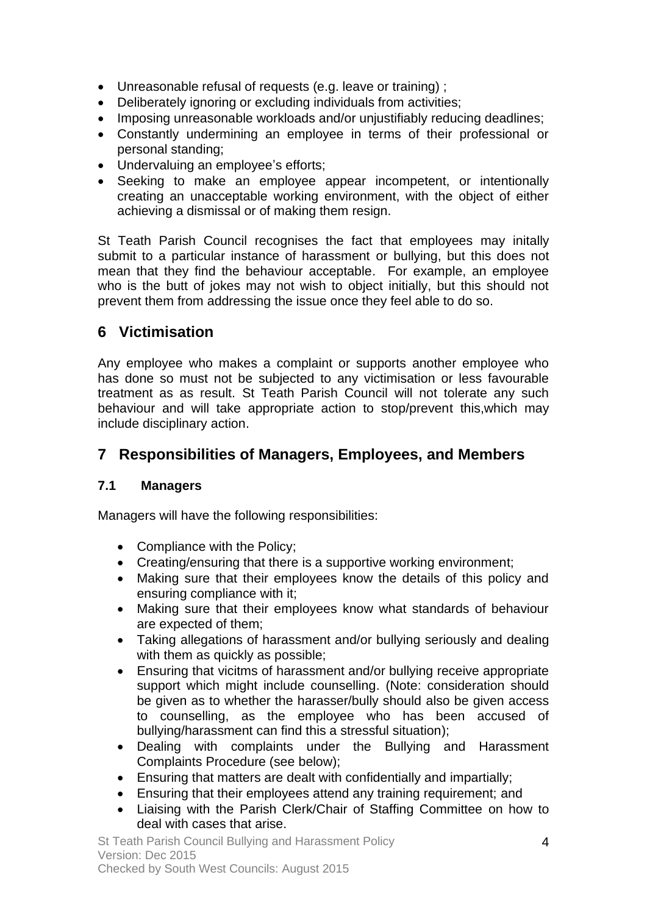- Unreasonable refusal of requests (e.g. leave or training) ;
- Deliberately ignoring or excluding individuals from activities;
- Imposing unreasonable workloads and/or unjustifiably reducing deadlines;
- Constantly undermining an employee in terms of their professional or personal standing;
- Undervaluing an employee's efforts;
- Seeking to make an employee appear incompetent, or intentionally creating an unacceptable working environment, with the object of either achieving a dismissal or of making them resign.

St Teath Parish Council recognises the fact that employees may initally submit to a particular instance of harassment or bullying, but this does not mean that they find the behaviour acceptable. For example, an employee who is the butt of jokes may not wish to object initially, but this should not prevent them from addressing the issue once they feel able to do so.

### **6 Victimisation**

Any employee who makes a complaint or supports another employee who has done so must not be subjected to any victimisation or less favourable treatment as as result. St Teath Parish Council will not tolerate any such behaviour and will take appropriate action to stop/prevent this,which may include disciplinary action.

### **7 Responsibilities of Managers, Employees, and Members**

#### **7.1 Managers**

Managers will have the following responsibilities:

- Compliance with the Policy;
- Creating/ensuring that there is a supportive working environment;
- Making sure that their employees know the details of this policy and ensuring compliance with it;
- Making sure that their employees know what standards of behaviour are expected of them;
- Taking allegations of harassment and/or bullying seriously and dealing with them as quickly as possible;
- Ensuring that vicitms of harassment and/or bullying receive appropriate support which might include counselling. (Note: consideration should be given as to whether the harasser/bully should also be given access to counselling, as the employee who has been accused of bullying/harassment can find this a stressful situation);
- Dealing with complaints under the Bullying and Harassment Complaints Procedure (see below);
- Ensuring that matters are dealt with confidentially and impartially;
- Ensuring that their employees attend any training requirement; and
- Liaising with the Parish Clerk/Chair of Staffing Committee on how to deal with cases that arise.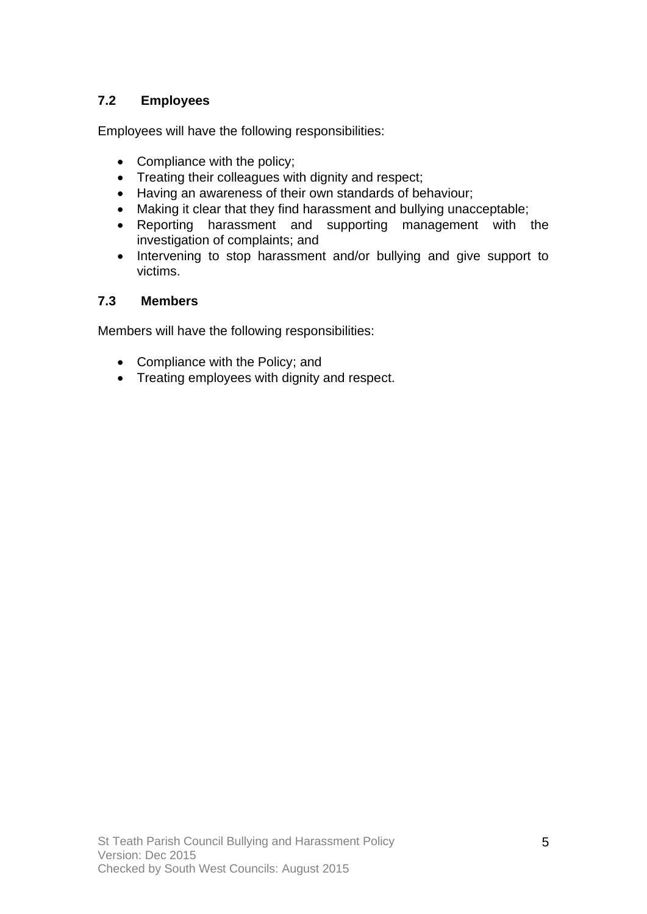#### **7.2 Employees**

Employees will have the following responsibilities:

- Compliance with the policy;
- Treating their colleagues with dignity and respect;
- Having an awareness of their own standards of behaviour;
- Making it clear that they find harassment and bullying unacceptable;
- Reporting harassment and supporting management with the investigation of complaints; and
- Intervening to stop harassment and/or bullying and give support to victims.

#### **7.3 Members**

Members will have the following responsibilities:

- Compliance with the Policy; and
- Treating employees with dignity and respect.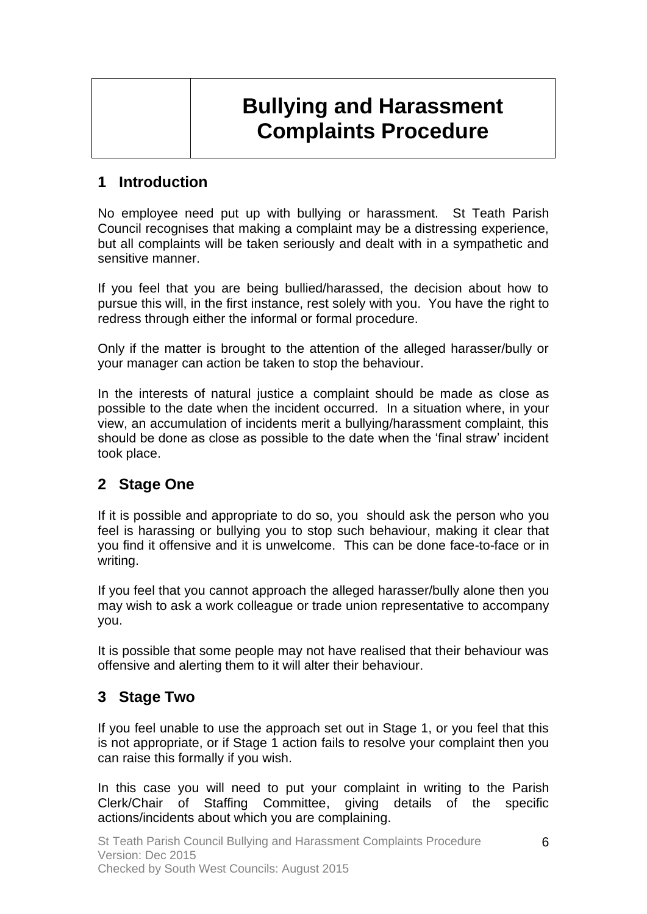# **Bullying and Harassment Complaints Procedure**

### **1 Introduction**

No employee need put up with bullying or harassment. St Teath Parish Council recognises that making a complaint may be a distressing experience, but all complaints will be taken seriously and dealt with in a sympathetic and sensitive manner.

If you feel that you are being bullied/harassed, the decision about how to pursue this will, in the first instance, rest solely with you. You have the right to redress through either the informal or formal procedure.

Only if the matter is brought to the attention of the alleged harasser/bully or your manager can action be taken to stop the behaviour.

In the interests of natural justice a complaint should be made as close as possible to the date when the incident occurred. In a situation where, in your view, an accumulation of incidents merit a bullying/harassment complaint, this should be done as close as possible to the date when the 'final straw' incident took place.

### **2 Stage One**

If it is possible and appropriate to do so, you should ask the person who you feel is harassing or bullying you to stop such behaviour, making it clear that you find it offensive and it is unwelcome. This can be done face-to-face or in writing.

If you feel that you cannot approach the alleged harasser/bully alone then you may wish to ask a work colleague or trade union representative to accompany you.

It is possible that some people may not have realised that their behaviour was offensive and alerting them to it will alter their behaviour.

### **3 Stage Two**

If you feel unable to use the approach set out in Stage 1, or you feel that this is not appropriate, or if Stage 1 action fails to resolve your complaint then you can raise this formally if you wish.

In this case you will need to put your complaint in writing to the Parish Clerk/Chair of Staffing Committee, giving details of the specific actions/incidents about which you are complaining.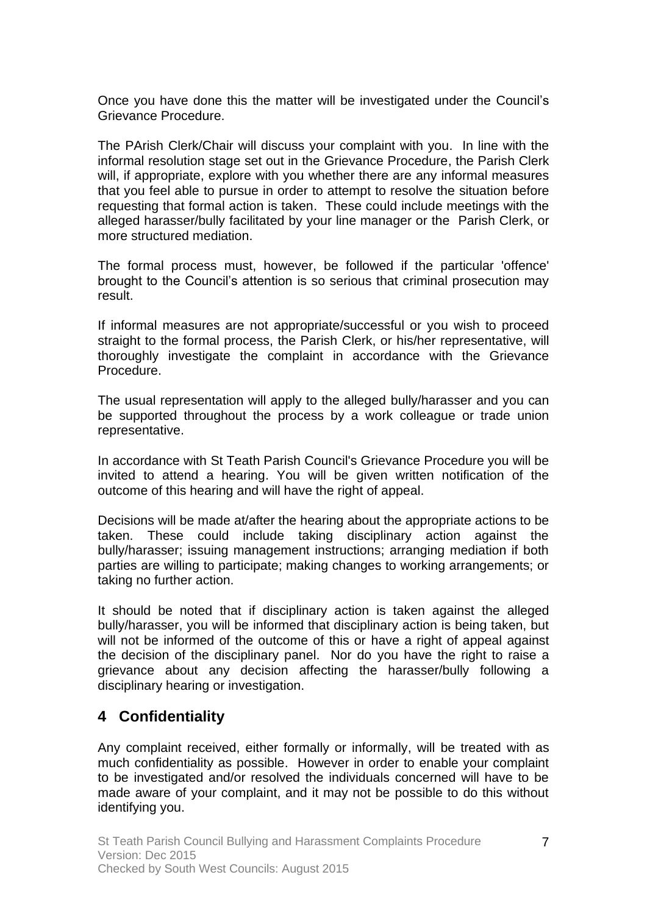Once you have done this the matter will be investigated under the Council's Grievance Procedure.

The PArish Clerk/Chair will discuss your complaint with you. In line with the informal resolution stage set out in the Grievance Procedure, the Parish Clerk will, if appropriate, explore with you whether there are any informal measures that you feel able to pursue in order to attempt to resolve the situation before requesting that formal action is taken. These could include meetings with the alleged harasser/bully facilitated by your line manager or the Parish Clerk, or more structured mediation.

The formal process must, however, be followed if the particular 'offence' brought to the Council's attention is so serious that criminal prosecution may result.

If informal measures are not appropriate/successful or you wish to proceed straight to the formal process, the Parish Clerk, or his/her representative, will thoroughly investigate the complaint in accordance with the Grievance Procedure.

The usual representation will apply to the alleged bully/harasser and you can be supported throughout the process by a work colleague or trade union representative.

In accordance with St Teath Parish Council's Grievance Procedure you will be invited to attend a hearing. You will be given written notification of the outcome of this hearing and will have the right of appeal.

Decisions will be made at/after the hearing about the appropriate actions to be taken. These could include taking disciplinary action against the bully/harasser; issuing management instructions; arranging mediation if both parties are willing to participate; making changes to working arrangements; or taking no further action.

It should be noted that if disciplinary action is taken against the alleged bully/harasser, you will be informed that disciplinary action is being taken, but will not be informed of the outcome of this or have a right of appeal against the decision of the disciplinary panel. Nor do you have the right to raise a grievance about any decision affecting the harasser/bully following a disciplinary hearing or investigation.

### **4 Confidentiality**

Any complaint received, either formally or informally, will be treated with as much confidentiality as possible. However in order to enable your complaint to be investigated and/or resolved the individuals concerned will have to be made aware of your complaint, and it may not be possible to do this without identifying you.